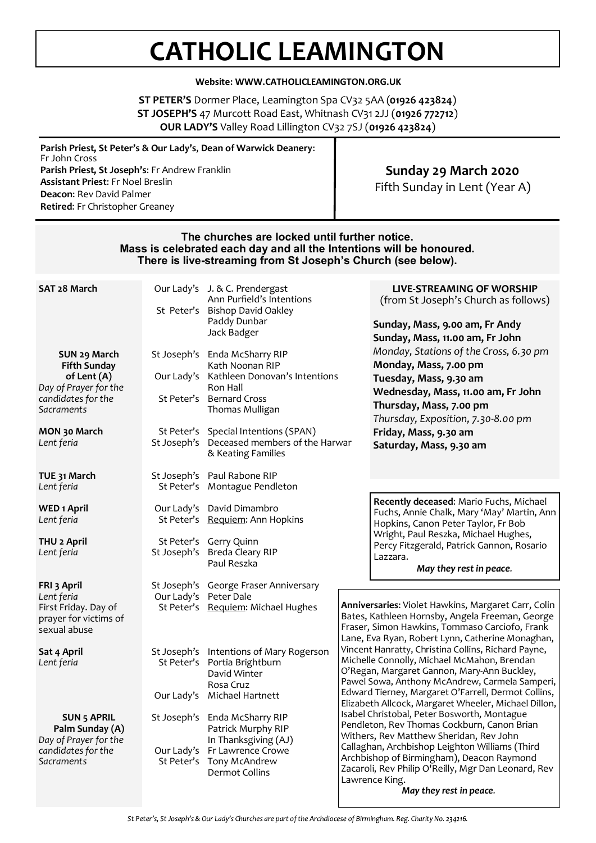# **CATHOLIC LEAMINGTON**

#### **Website: WWW.CATHOLICLEAMINGTON.ORG.UK**

**ST PETER'S** Dormer Place, Leamington Spa CV32 5AA (**01926 423824**) **ST JOSEPH'S** 47 Murcott Road East, Whitnash CV31 2JJ (**01926 772712**) **OUR LADY'S** Valley Road Lillington CV32 7SJ (**01926 423824**)

| Parish Priest, St Peter's & Our Lady's, Dean of Warwick Deanery:<br>Fr John Cross |                               |
|-----------------------------------------------------------------------------------|-------------------------------|
| Parish Priest, St Joseph's: Fr Andrew Franklin                                    | Sunday 29 March 2020          |
| <b>Assistant Priest: Fr Noel Breslin</b>                                          | Fifth Sunday in Lent (Year A) |
| <b>Deacon: Rev David Palmer</b>                                                   |                               |
| <b>Retired:</b> Fr Christopher Greaney                                            |                               |

#### **The churches are locked until further notice. Mass is celebrated each day and all the Intentions will be honoured. There is live-streaming from St Joseph's Church (see below).**

| SAT 28 March                                                                                                                                  |                       | Our Lady's J. & C. Prendergast<br>Ann Purfield's Intentions<br>St Peter's Bishop David Oakley<br>Paddy Dunbar<br>Jack Badger                                                                                                      |                                                                                                                                                                                                                                                                                                                                                                                                                                                                                                                                                                                                                                                                | <b>LIVE-STREAMING OF WORSHIP</b><br>(from St Joseph's Church as follows)<br>Sunday, Mass, 9.00 am, Fr Andy<br>Sunday, Mass, 11.00 am, Fr John                                                                                                                                                                                                                                                                                                                                                                    |  |
|-----------------------------------------------------------------------------------------------------------------------------------------------|-----------------------|-----------------------------------------------------------------------------------------------------------------------------------------------------------------------------------------------------------------------------------|----------------------------------------------------------------------------------------------------------------------------------------------------------------------------------------------------------------------------------------------------------------------------------------------------------------------------------------------------------------------------------------------------------------------------------------------------------------------------------------------------------------------------------------------------------------------------------------------------------------------------------------------------------------|------------------------------------------------------------------------------------------------------------------------------------------------------------------------------------------------------------------------------------------------------------------------------------------------------------------------------------------------------------------------------------------------------------------------------------------------------------------------------------------------------------------|--|
| SUN 29 March<br><b>Fifth Sunday</b><br>of Lent (A)<br>Day of Prayer for the<br>candidates for the<br>Sacraments<br>MON 30 March<br>Lent feria | St Joseph's           | St Joseph's Enda McSharry RIP<br>Kath Noonan RIP<br>Our Lady's Kathleen Donovan's Intentions<br>Ron Hall<br>St Peter's Bernard Cross<br>Thomas Mulligan<br>St Peter's Special Intentions (SPAN)<br>Deceased members of the Harwar |                                                                                                                                                                                                                                                                                                                                                                                                                                                                                                                                                                                                                                                                | Monday, Stations of the Cross, 6.30 pm<br>Monday, Mass, 7.00 pm<br>Tuesday, Mass, 9.30 am<br>Wednesday, Mass, 11.00 am, Fr John<br>Thursday, Mass, 7.00 pm<br>Thursday, Exposition, 7.30-8.00 pm<br>Friday, Mass, 9.30 am<br>Saturday, Mass, 9.30 am<br>Recently deceased: Mario Fuchs, Michael<br>Fuchs, Annie Chalk, Mary 'May' Martin, Ann<br>Hopkins, Canon Peter Taylor, Fr Bob<br>Wright, Paul Reszka, Michael Hughes,<br>Percy Fitzgerald, Patrick Gannon, Rosario<br>Lazzara.<br>May they rest in peace. |  |
| TUE 31 March<br>Lent feria                                                                                                                    |                       | & Keating Families<br>St Joseph's Paul Rabone RIP<br>St Peter's Montague Pendleton                                                                                                                                                |                                                                                                                                                                                                                                                                                                                                                                                                                                                                                                                                                                                                                                                                |                                                                                                                                                                                                                                                                                                                                                                                                                                                                                                                  |  |
| <b>WED 1 April</b><br>Lent feria                                                                                                              |                       | Our Lady's David Dimambro<br>St Peter's Requiem: Ann Hopkins                                                                                                                                                                      |                                                                                                                                                                                                                                                                                                                                                                                                                                                                                                                                                                                                                                                                |                                                                                                                                                                                                                                                                                                                                                                                                                                                                                                                  |  |
| THU <sub>2</sub> April<br>Lent feria                                                                                                          | St Joseph's           | St Peter's Gerry Quinn<br>Breda Cleary RIP<br>Paul Reszka                                                                                                                                                                         |                                                                                                                                                                                                                                                                                                                                                                                                                                                                                                                                                                                                                                                                |                                                                                                                                                                                                                                                                                                                                                                                                                                                                                                                  |  |
| FRI 3 April<br>Lent feria<br>First Friday. Day of<br>prayer for victims of<br>sexual abuse                                                    | Our Lady's Peter Dale | St Joseph's George Fraser Anniversary<br>St Peter's Requiem: Michael Hughes                                                                                                                                                       |                                                                                                                                                                                                                                                                                                                                                                                                                                                                                                                                                                                                                                                                | Anniversaries: Violet Hawkins, Margaret Carr, Colin<br>Bates, Kathleen Hornsby, Angela Freeman, George<br>Fraser, Simon Hawkins, Tommaso Carciofo, Frank<br>Lane, Eva Ryan, Robert Lynn, Catherine Monaghan,                                                                                                                                                                                                                                                                                                     |  |
| Sat 4 April<br>Lent feria                                                                                                                     |                       | St Joseph's Intentions of Mary Rogerson<br>St Peter's Portia Brightburn<br>David Winter<br>Rosa Cruz<br>Our Lady's Michael Hartnett                                                                                               | Vincent Hanratty, Christina Collins, Richard Payne,<br>Michelle Connolly, Michael McMahon, Brendan<br>O'Regan, Margaret Gannon, Mary-Ann Buckley,<br>Pawel Sowa, Anthony McAndrew, Carmela Samperi,<br>Edward Tierney, Margaret O'Farrell, Dermot Collins,<br>Elizabeth Allcock, Margaret Wheeler, Michael Dillon,<br>Isabel Christobal, Peter Bosworth, Montague<br>Pendleton, Rev Thomas Cockburn, Canon Brian<br>Withers, Rev Matthew Sheridan, Rev John<br>Callaghan, Archbishop Leighton Williams (Third<br>Archbishop of Birmingham), Deacon Raymond<br>Zacaroli, Rev Philip O'Reilly, Mgr Dan Leonard, Rev<br>Lawrence King.<br>May they rest in peace. |                                                                                                                                                                                                                                                                                                                                                                                                                                                                                                                  |  |
| <b>SUN 5 APRIL</b><br>Palm Sunday (A)<br>Day of Prayer for the<br>candidates for the<br>Sacraments                                            | St Peter's            | St Joseph's Enda McSharry RIP<br>Patrick Murphy RIP<br>In Thanksgiving (AJ)<br>Our Lady's Fr Lawrence Crowe<br>Tony McAndrew<br><b>Dermot Collins</b>                                                                             |                                                                                                                                                                                                                                                                                                                                                                                                                                                                                                                                                                                                                                                                |                                                                                                                                                                                                                                                                                                                                                                                                                                                                                                                  |  |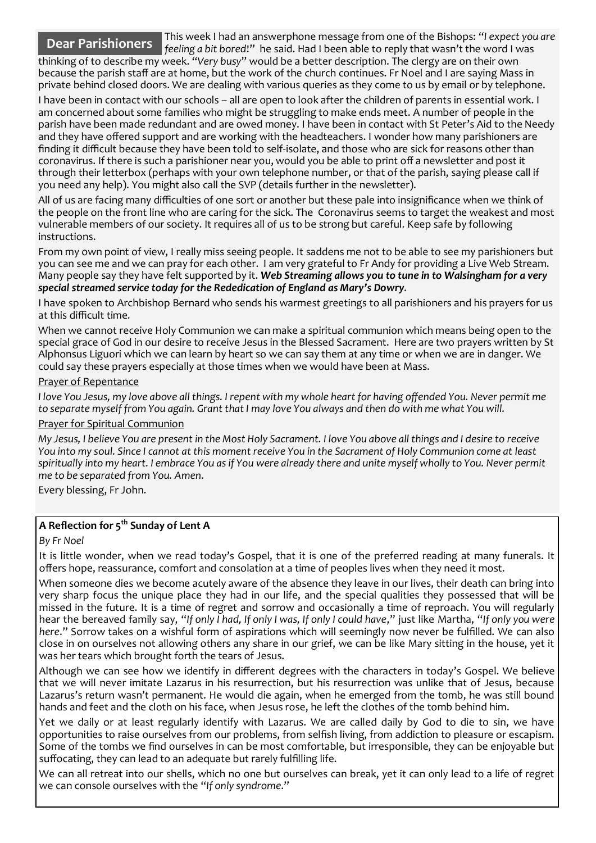This week I had an answerphone message from one of the Bishops: "*I expect you are* 

*feeling a bit bored*!" he said. Had I been able to reply that wasn't the word I was thinking of to describe my week. "*Very busy*" would be a better description. The clergy are on their own because the parish staff are at home, but the work of the church continues. Fr Noel and I are saying Mass in private behind closed doors. We are dealing with various queries as they come to us by email or by telephone. **Dear Parishioners**

I have been in contact with our schools – all are open to look after the children of parents in essential work. I am concerned about some families who might be struggling to make ends meet. A number of people in the parish have been made redundant and are owed money. I have been in contact with St Peter's Aid to the Needy and they have offered support and are working with the headteachers. I wonder how many parishioners are finding it difficult because they have been told to self-isolate, and those who are sick for reasons other than coronavirus. If there is such a parishioner near you, would you be able to print off a newsletter and post it through their letterbox (perhaps with your own telephone number, or that of the parish, saying please call if you need any help). You might also call the SVP (details further in the newsletter).

All of us are facing many difficulties of one sort or another but these pale into insignificance when we think of the people on the front line who are caring for the sick. The Coronavirus seems to target the weakest and most vulnerable members of our society. It requires all of us to be strong but careful. Keep safe by following instructions.

From my own point of view, I really miss seeing people. It saddens me not to be able to see my parishioners but you can see me and we can pray for each other. I am very grateful to Fr Andy for providing a Live Web Stream. Many people say they have felt supported by it. *Web Streaming allows you to tune in to Walsingham for a very special streamed service today for the Rededication of England as Mary's Dowry*.

I have spoken to Archbishop Bernard who sends his warmest greetings to all parishioners and his prayers for us at this difficult time.

When we cannot receive Holy Communion we can make a spiritual communion which means being open to the special grace of God in our desire to receive Jesus in the Blessed Sacrament. Here are two prayers written by St Alphonsus Liguori which we can learn by heart so we can say them at any time or when we are in danger. We could say these prayers especially at those times when we would have been at Mass.

#### Prayer of Repentance

*I love You Jesus, my love above all things. I repent with my whole heart for having offended You. Never permit me to separate myself from You again. Grant that I may love You always and then do with me what You will.* 

#### Prayer for Spiritual Communion

*My Jesus, I believe You are present in the Most Holy Sacrament. I love You above all things and I desire to receive You into my soul. Since I cannot at this moment receive You in the Sacrament of Holy Communion come at least spiritually into my heart. I embrace You as if You were already there and unite myself wholly to You. Never permit me to be separated from You. Amen*.

Every blessing, Fr John.

### **A Reflection for 5th Sunday of Lent A**

#### *By Fr Noel*

It is little wonder, when we read today's Gospel, that it is one of the preferred reading at many funerals. It offers hope, reassurance, comfort and consolation at a time of peoples lives when they need it most.

When someone dies we become acutely aware of the absence they leave in our lives, their death can bring into very sharp focus the unique place they had in our life, and the special qualities they possessed that will be missed in the future. It is a time of regret and sorrow and occasionally a time of reproach. You will regularly hear the bereaved family say, "*If only I had, If only I was, If only I could have*," just like Martha, "*If only you were here*." Sorrow takes on a wishful form of aspirations which will seemingly now never be fulfilled. We can also close in on ourselves not allowing others any share in our grief, we can be like Mary sitting in the house, yet it was her tears which brought forth the tears of Jesus.

Although we can see how we identify in different degrees with the characters in today's Gospel. We believe that we will never imitate Lazarus in his resurrection, but his resurrection was unlike that of Jesus, because Lazarus's return wasn't permanent. He would die again, when he emerged from the tomb, he was still bound hands and feet and the cloth on his face, when Jesus rose, he left the clothes of the tomb behind him.

Yet we daily or at least regularly identify with Lazarus. We are called daily by God to die to sin, we have opportunities to raise ourselves from our problems, from selfish living, from addiction to pleasure or escapism. Some of the tombs we find ourselves in can be most comfortable, but irresponsible, they can be enjoyable but suffocating, they can lead to an adequate but rarely fulfilling life.

We can all retreat into our shells, which no one but ourselves can break, yet it can only lead to a life of regret we can console ourselves with the "*If only syndrome*."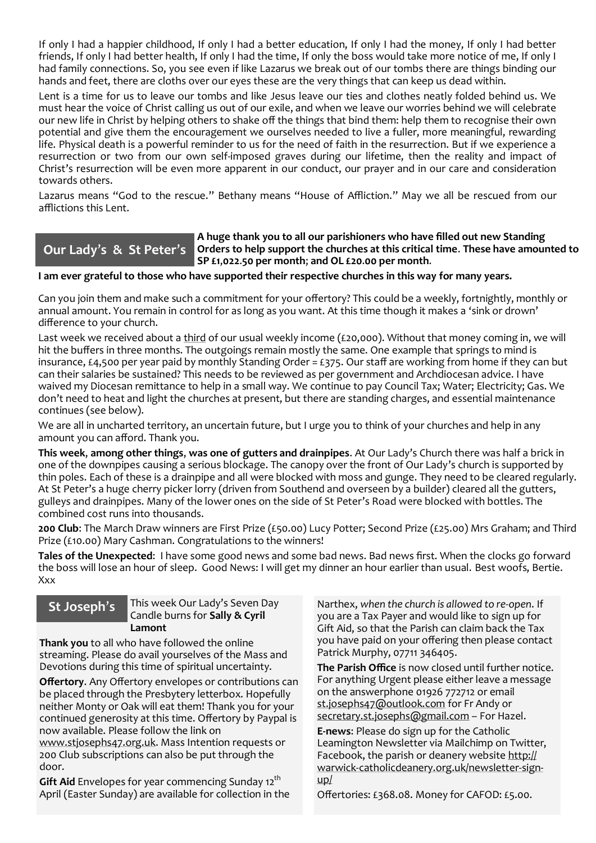If only I had a happier childhood, If only I had a better education, If only I had the money, If only I had better friends, If only I had better health, If only I had the time, If only the boss would take more notice of me, If only I had family connections. So, you see even if like Lazarus we break out of our tombs there are things binding our hands and feet, there are cloths over our eyes these are the very things that can keep us dead within.

Lent is a time for us to leave our tombs and like Jesus leave our ties and clothes neatly folded behind us. We must hear the voice of Christ calling us out of our exile, and when we leave our worries behind we will celebrate our new life in Christ by helping others to shake off the things that bind them: help them to recognise their own potential and give them the encouragement we ourselves needed to live a fuller, more meaningful, rewarding life. Physical death is a powerful reminder to us for the need of faith in the resurrection. But if we experience a resurrection or two from our own self-imposed graves during our lifetime, then the reality and impact of Christ's resurrection will be even more apparent in our conduct, our prayer and in our care and consideration towards others.

Lazarus means "God to the rescue." Bethany means "House of Affliction." May we all be rescued from our afflictions this Lent.

## **Our Lady**'**s & St Peter**'**s**

#### **A huge thank you to all our parishioners who have filled out new Standing Orders to help support the churches at this critical time**. **These have amounted to SP £1**,**022**.**50 per month**; **and OL £20**.**00 per month**.

#### **I am ever grateful to those who have supported their respective churches in this way for many years.**

Can you join them and make such a commitment for your offertory? This could be a weekly, fortnightly, monthly or annual amount. You remain in control for as long as you want. At this time though it makes a 'sink or drown' difference to your church.

Last week we received about a third of our usual weekly income (£20,000). Without that money coming in, we will hit the buffers in three months. The outgoings remain mostly the same. One example that springs to mind is insurance, £4,500 per year paid by monthly Standing Order = £375. Our staff are working from home if they can but can their salaries be sustained? This needs to be reviewed as per government and Archdiocesan advice. I have waived my Diocesan remittance to help in a small way. We continue to pay Council Tax; Water; Electricity; Gas. We don't need to heat and light the churches at present, but there are standing charges, and essential maintenance continues (see below).

We are all in uncharted territory, an uncertain future, but I urge you to think of your churches and help in any amount you can afford. Thank you.

**This week**, **among other things**, **was one of gutters and drainpipes**. At Our Lady's Church there was half a brick in one of the downpipes causing a serious blockage. The canopy over the front of Our Lady's church is supported by thin poles. Each of these is a drainpipe and all were blocked with moss and gunge. They need to be cleared regularly. At St Peter's a huge cherry picker lorry (driven from Southend and overseen by a builder) cleared all the gutters, gulleys and drainpipes. Many of the lower ones on the side of St Peter's Road were blocked with bottles. The combined cost runs into thousands.

**200 Club**: The March Draw winners are First Prize (£50.00) Lucy Potter; Second Prize (£25.00) Mrs Graham; and Third Prize (£10.00) Mary Cashman. Congratulations to the winners!

**Tales of the Unexpected**: I have some good news and some bad news. Bad news first. When the clocks go forward the boss will lose an hour of sleep. Good News: I will get my dinner an hour earlier than usual. Best woofs, Bertie. Xxx

This week Our Lady's Seven Day Candle burns for **Sally & Cyril Lamont**

**Thank you** to all who have followed the online streaming. Please do avail yourselves of the Mass and Devotions during this time of spiritual uncertainty.

**Offertory**. Any Offertory envelopes or contributions can be placed through the Presbytery letterbox. Hopefully neither Monty or Oak will eat them! Thank you for your continued generosity at this time. Offertory by Paypal is now available. Please follow the link on

[www.stjosephs47.org.uk.](http://www.stjosephs47org.uk/) Mass Intention requests or 200 Club subscriptions can also be put through the door.

**Gift Aid** Envelopes for year commencing Sunday 12<sup>th</sup> April (Easter Sunday) are available for collection in the

**St Joseph's** This week Our Lady's Seven Day Narthex, when the church is allowed to re-open. If you are a Tax Payer and would like to sign up for Gift Aid, so that the Parish can claim back the Tax you have paid on your offering then please contact Patrick Murphy, 07711 346405.

> **The Parish Office** is now closed until further notice. For anything Urgent please either leave a message on the answerphone 01926 772712 or email [st.josephs47@outlook.com](mailto:st.josephs47@outlook.com) for Fr Andy or [secretary.st.josephs@gmail.com](mailto:secretary.st.josephs@gmail.com) - For Hazel.

**E-news**: Please do sign up for the Catholic Leamington Newsletter via Mailchimp on Twitter, Facebook, the parish or deanery website [http://](https://eur01.safelinks.protection.outlook.com/?url=http%3A%2F%2Fwarwick-catholicdeanery.org.uk%2Fnewsletter-sign-up%2F&data=02%7C01%7C%7C721285f1bfe64a92393d08d7a351cd53%7C84df9e7fe9f640afb435aaaaaaaaaaaa%7C1%7C0%7C637157444038479073&sdata=wJyzCzyquvWm6KYBMn) warwick-[catholicdeanery.org.uk/newsletter](https://eur01.safelinks.protection.outlook.com/?url=http%3A%2F%2Fwarwick-catholicdeanery.org.uk%2Fnewsletter-sign-up%2F&data=02%7C01%7C%7C721285f1bfe64a92393d08d7a351cd53%7C84df9e7fe9f640afb435aaaaaaaaaaaa%7C1%7C0%7C637157444038479073&sdata=wJyzCzyquvWm6KYBMn)-sign[up/](https://eur01.safelinks.protection.outlook.com/?url=http%3A%2F%2Fwarwick-catholicdeanery.org.uk%2Fnewsletter-sign-up%2F&data=02%7C01%7C%7C721285f1bfe64a92393d08d7a351cd53%7C84df9e7fe9f640afb435aaaaaaaaaaaa%7C1%7C0%7C637157444038479073&sdata=wJyzCzyquvWm6KYBMn)

Offertories: £368.08. Money for CAFOD: £5.00.